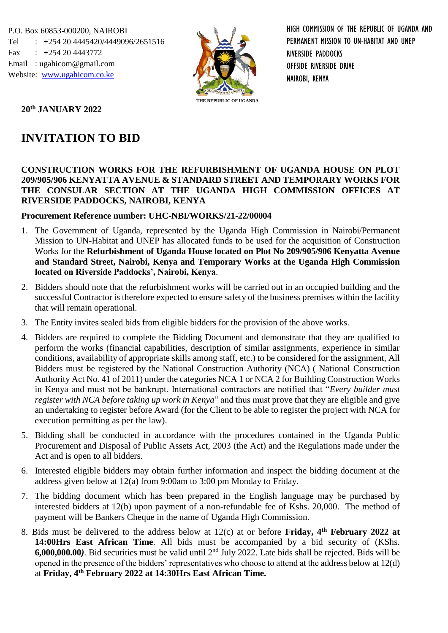P.O. Box 60853-000200, NAIROBI Tel : +254 20 4445420/4449096/2651516 Fax : +254 20 4443772 Email : ugahicom@gmail.com Website: [www.ugahicom.co.ke](http://www.ugahicom.co.ke/)



HIGH COMMISSION OF THE REPUBLIC OF UGANDA AND PERMANENT MISSION TO UN-HABITAT AND UNEP RIVERSIDE PADDOCKS OFFSIDE RIVERSIDE DRIVE NAIROBI, KENYA

**20th JANUARY 2022**

## **INVITATION TO BID**

## **CONSTRUCTION WORKS FOR THE REFURBISHMENT OF UGANDA HOUSE ON PLOT 209/905/906 KENYATTA AVENUE & STANDARD STREET AND TEMPORARY WORKS FOR THE CONSULAR SECTION AT THE UGANDA HIGH COMMISSION OFFICES AT RIVERSIDE PADDOCKS, NAIROBI, KENYA**

## **Procurement Reference number: UHC-NBI/WORKS/21-22/00004**

- 1. The Government of Uganda, represented by the Uganda High Commission in Nairobi/Permanent Mission to UN-Habitat and UNEP has allocated funds to be used for the acquisition of Construction Works for the **Refurbishment of Uganda House located on Plot No 209/905/906 Kenyatta Avenue and Standard Street, Nairobi, Kenya and Temporary Works at the Uganda High Commission located on Riverside Paddocks', Nairobi, Kenya**.
- 2. Bidders should note that the refurbishment works will be carried out in an occupied building and the successful Contractor is therefore expected to ensure safety of the business premises within the facility that will remain operational.
- 3. The Entity invites sealed bids from eligible bidders for the provision of the above works.
- 4. Bidders are required to complete the Bidding Document and demonstrate that they are qualified to perform the works (financial capabilities, description of similar assignments, experience in similar conditions, availability of appropriate skills among staff, etc.) to be considered for the assignment, All Bidders must be registered by the National Construction Authority (NCA) ( National Construction Authority Act No. 41 of 2011) under the categories NCA 1 or NCA 2 for Building Construction Works in Kenya and must not be bankrupt. International contractors are notified that "*Every builder must register with NCA before taking up work in Kenya*" and thus must prove that they are eligible and give an undertaking to register before Award (for the Client to be able to register the project with NCA for execution permitting as per the law).
- 5. Bidding shall be conducted in accordance with the procedures contained in the Uganda Public Procurement and Disposal of Public Assets Act, 2003 (the Act) and the Regulations made under the Act and is open to all bidders.
- 6. Interested eligible bidders may obtain further information and inspect the bidding document at the address given below at 12(a) from 9:00am to 3:00 pm Monday to Friday.
- 7. The bidding document which has been prepared in the English language may be purchased by interested bidders at 12(b) upon payment of a non-refundable fee of Kshs. 20,000. The method of payment will be Bankers Cheque in the name of Uganda High Commission.
- 8. Bids must be delivered to the address below at 12(c) at or before **Friday, 4th February 2022 at 14:00Hrs East African Time**. All bids must be accompanied by a bid security of (KShs. **6,000,000.00***).* Bid securities must be valid until 2nd July 2022. Late bids shall be rejected. Bids will be opened in the presence of the bidders' representatives who choose to attend at the address below at 12(d) at **Friday, 4th February 2022 at 14:30Hrs East African Time.**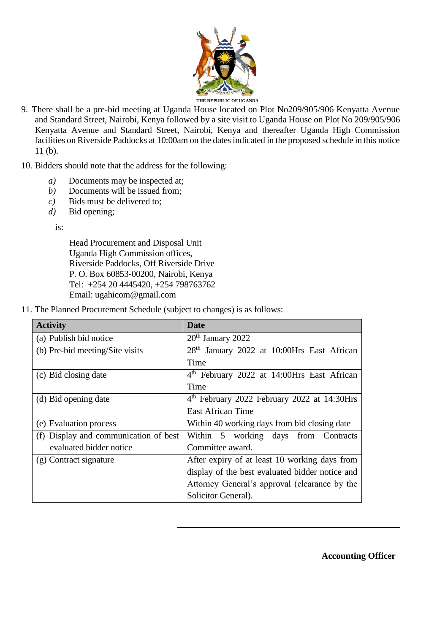

- 9. There shall be a pre-bid meeting at Uganda House located on Plot No209/905/906 Kenyatta Avenue and Standard Street, Nairobi, Kenya followed by a site visit to Uganda House on Plot No 209/905/906 Kenyatta Avenue and Standard Street, Nairobi, Kenya and thereafter Uganda High Commission facilities on Riverside Paddocks at 10:00am on the dates indicated in the proposed schedule in this notice 11 (b).
- 10. Bidders should note that the address for the following:
	- *a)* Documents may be inspected at;
	- *b)* Documents will be issued from;
	- *c)* Bids must be delivered to;
	- *d)* Bid opening;

is:

Head Procurement and Disposal Unit Uganda High Commission offices, Riverside Paddocks, Off Riverside Drive P. O. Box 60853-00200, Nairobi, Kenya Tel: +254 20 4445420, +254 798763762 Email: [ugahicom@gmail.com](mailto:ugahicom@gmail.com)

11. The Planned Procurement Schedule (subject to changes) is as follows:

| <b>Activity</b>                       | <b>Date</b>                                             |
|---------------------------------------|---------------------------------------------------------|
| (a) Publish bid notice                | $20th$ January 2022                                     |
| (b) Pre-bid meeting/Site visits       | 28 <sup>th</sup> January 2022 at 10:00Hrs East African  |
|                                       | Time                                                    |
| (c) Bid closing date                  | 4 <sup>th</sup> February 2022 at 14:00Hrs East African  |
|                                       | Time                                                    |
| (d) Bid opening date                  | 4 <sup>th</sup> February 2022 February 2022 at 14:30Hrs |
|                                       | East African Time                                       |
| (e) Evaluation process                | Within 40 working days from bid closing date            |
| (f) Display and communication of best | Within 5 working days from Contracts                    |
| evaluated bidder notice               | Committee award.                                        |
| (g) Contract signature                | After expiry of at least 10 working days from           |
|                                       | display of the best evaluated bidder notice and         |
|                                       | Attorney General's approval (clearance by the           |
|                                       | Solicitor General).                                     |

**Accounting Officer**